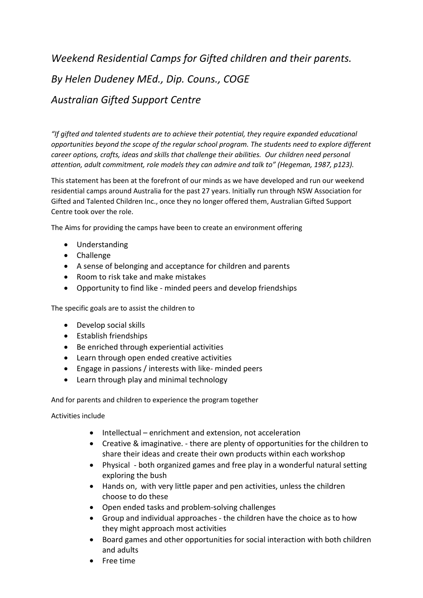## *Weekend Residential Camps for Gifted children and their parents. By Helen Dudeney MEd., Dip. Couns., COGE Australian Gifted Support Centre*

*"If gifted and talented students are to achieve their potential, they require expanded educational opportunities beyond the scope of the regular school program. The students need to explore different career options, crafts, ideas and skills that challenge their abilities. Our children need personal attention, adult commitment, role models they can admire and talk to" (Hegeman, 1987, p123).*

This statement has been at the forefront of our minds as we have developed and run our weekend residential camps around Australia for the past 27 years. Initially run through NSW Association for Gifted and Talented Children Inc., once they no longer offered them, Australian Gifted Support Centre took over the role.

The Aims for providing the camps have been to create an environment offering

- Understanding
- Challenge
- A sense of belonging and acceptance for children and parents
- Room to risk take and make mistakes
- Opportunity to find like minded peers and develop friendships

The specific goals are to assist the children to

- Develop social skills
- Establish friendships
- Be enriched through experiential activities
- Learn through open ended creative activities
- Engage in passions / interests with like- minded peers
- Learn through play and minimal technology

And for parents and children to experience the program together

Activities include

- Intellectual enrichment and extension, not acceleration
- Creative & imaginative. there are plenty of opportunities for the children to share their ideas and create their own products within each workshop
- Physical both organized games and free play in a wonderful natural setting exploring the bush
- Hands on, with very little paper and pen activities, unless the children choose to do these
- Open ended tasks and problem-solving challenges
- Group and individual approaches the children have the choice as to how they might approach most activities
- Board games and other opportunities for social interaction with both children and adults
- Free time